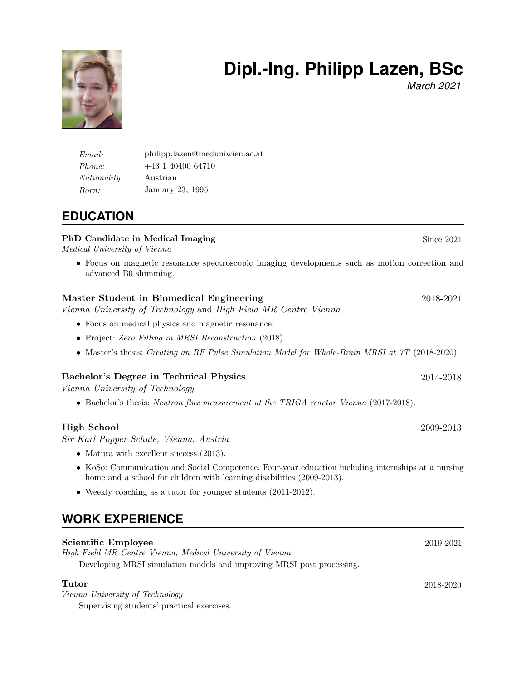

# **Dipl.-Ing. Philipp Lazen, BSc**

*March 2021*

Email: philipp.lazen@meduniwien.ac.at Phone: +43 1 40400 64710 Nationality: Austrian Born: January 23, 1995

# **EDUCATION**

# PhD Candidate in Medical Imaging Since 2021

Medical University of Vienna

• Focus on magnetic resonance spectroscopic imaging developments such as motion correction and advanced B0 shimming.

# Master Student in Biomedical Engineering 2018-2021

Vienna University of Technology and High Field MR Centre Vienna

- Focus on medical physics and magnetic resonance.
- Project: Zero Filling in MRSI Reconstruction (2018).
- Master's thesis: Creating an RF Pulse Simulation Model for Whole-Brain MRSI at  $7T$  (2018-2020).

# Bachelor's Degree in Technical Physics 2014-2018

Vienna University of Technology

• Bachelor's thesis: Neutron flux measurement at the TRIGA reactor Vienna (2017-2018).

# High School 2009-2013

Sir Karl Popper Schule, Vienna, Austria

- Matura with excellent success (2013).
- KoSo: Communication and Social Competence. Four-year education including internships at a nursing home and a school for children with learning disabilities (2009-2013).
- Weekly coaching as a tutor for younger students (2011-2012).

# **WORK EXPERIENCE**

# Scientific Employee 2019-2021

High Field MR Centre Vienna, Medical University of Vienna

Developing MRSI simulation models and improving MRSI post processing.

Vienna University of Technology Supervising students' practical exercises.

**Tutor** 2018-2020